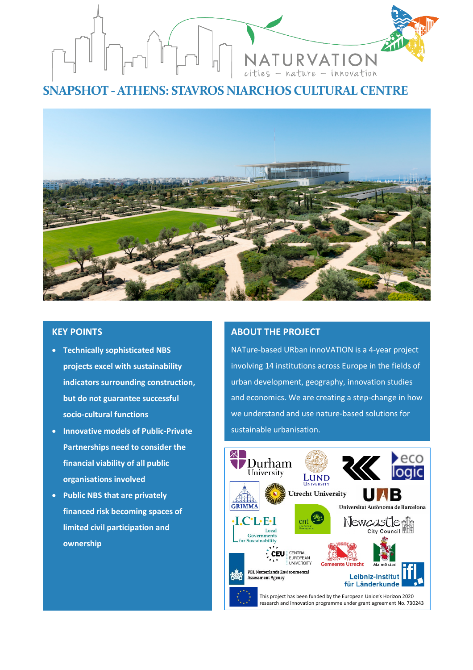

**SNAPSHOT -ATHENS: STAVROS NIARCHOS CULTURAL CENTRE**



# **KEY POINTS**

- **Technically sophisticated NBS projects excel with sustainability indicators surrounding construction, but do not guarantee successful socio-cultural functions**
- **Innovative models of Public-Private Partnerships need to consider the financial viability of all public organisations involved**
- **Public NBS that are privately financed risk becoming spaces of limited civil participation and ownership**

# **ABOUT THE PROJECT**

NATure-based URban innoVATION is a 4-year project involving 14 institutions across Europe in the fields of urban development, geography, innovation studies and economics. We are creating a step-change in how we understand and use nature-based solutions for sustainable urbanisation.

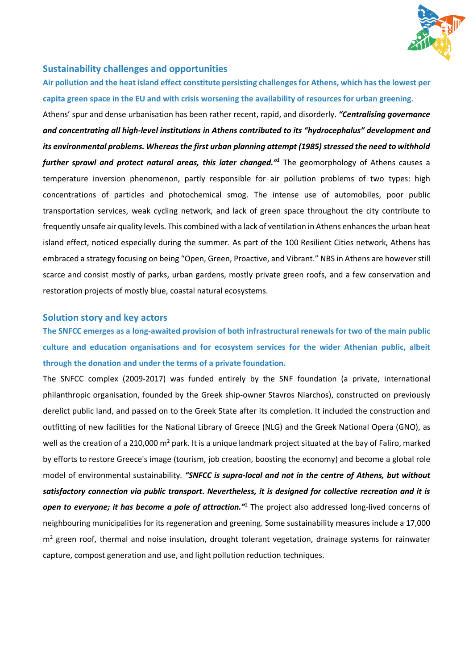

## **Sustainability challenges and opportunities**

**Air pollution and the heat island effect constitute persisting challenges for Athens, which has the lowest per capita green space in the EU and with crisis worsening the availability of resources for urban greening.** 

Athens' spur and dense urbanisation has been rather recent, rapid, and disorderly. *"Centralising governance and concentrating all high-level institutions in Athens contributed to its "hydrocephalus" development and its environmental problems. Whereas the first urban planning attempt (1985) stressed the need to withhold further sprawl and protect natural areas, this later changed."1* The geomorphology of Athens causes a temperature inversion phenomenon, partly responsible for air pollution problems of two types: high concentrations of particles and photochemical smog. The intense use of automobiles, poor public transportation services, weak cycling network, and lack of green space throughout the city contribute to frequently unsafe air quality levels. This combined with a lack of ventilation in Athens enhances the urban heat island effect, noticed especially during the summer. As part of the 100 Resilient Cities network, Athens has embraced a strategy focusing on being "Open, Green, Proactive, and Vibrant." NBS in Athens are however still scarce and consist mostly of parks, urban gardens, mostly private green roofs, and a few conservation and restoration projects of mostly blue, coastal natural ecosystems.

#### **Solution story and key actors**

**The SNFCC emerges as a long-awaited provision of both infrastructural renewals for two of the main public culture and education organisations and for ecosystem services for the wider Athenian public, albeit through the donation and under the terms of a private foundation.** 

The SNFCC complex (2009-2017) was funded entirely by the SNF foundation (a private, international philanthropic organisation, founded by the Greek ship-owner Stavros Niarchos), constructed on previously derelict public land, and passed on to the Greek State after its completion. It included the construction and outfitting of new facilities for the National Library of Greece (NLG) and the Greek National Opera (GNO), as well as the creation of a 210,000 m<sup>2</sup> park. It is a unique landmark project situated at the bay of Faliro, marked by efforts to restore Greece's image (tourism, job creation, boosting the economy) and become a global role model of environmental sustainability. *"SNFCC is supra-local and not in the centre of Athens, but without satisfactory connection via public transport. Nevertheless, it is designed for collective recreation and it is open to everyone; it has become a pole of attraction."*<sup>2</sup> The project also addressed long-lived concerns of neighbouring municipalities for its regeneration and greening. Some sustainability measures include a 17,000  $m<sup>2</sup>$  green roof, thermal and noise insulation, drought tolerant vegetation, drainage systems for rainwater capture, compost generation and use, and light pollution reduction techniques.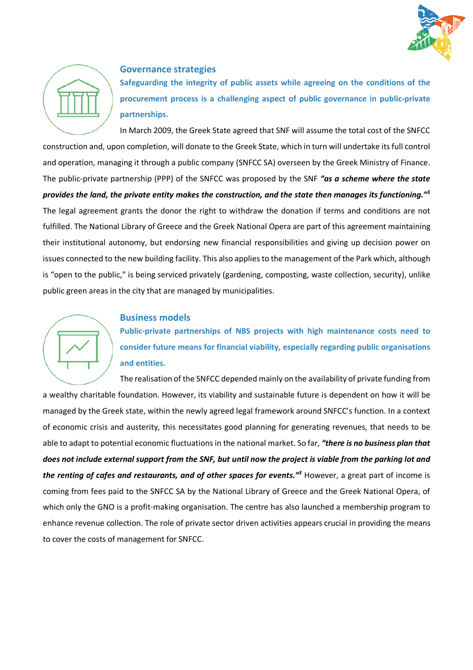



## **Governance strategies**

**Safeguarding the integrity of public assets while agreeing on the conditions of the procurement process is a challenging aspect of public governance in public-private partnerships.**

In March 2009, the Greek State agreed that SNF will assume the total cost of the SNFCC construction and, upon completion, will donate to the Greek State, which in turn will undertake its full control and operation, managing it through a public company (SNFCC SA) overseen by the Greek Ministry of Finance. The public-private partnership (PPP) of the SNFCC was proposed by the SNF *"as a scheme where the state provides the land, the private entity makes the construction, and the state then manages its functioning."3* The legal agreement grants the donor the right to withdraw the donation if terms and conditions are not fulfilled. The National Library of Greece and the Greek National Opera are part of this agreement maintaining their institutional autonomy, but endorsing new financial responsibilities and giving up decision power on issues connected to the new building facility. This also applies to the management of the Park which, although is "open to the public," is being serviced privately (gardening, composting, waste collection, security), unlike public green areas in the city that are managed by municipalities.

# **Business models**

**Public-private partnerships of NBS projects with high maintenance costs need to consider future means for financial viability, especially regarding public organisations and entities.**

The realisation of the SNFCC depended mainly on the availability of private funding from a wealthy charitable foundation. However, its viability and sustainable future is dependent on how it will be managed by the Greek state, within the newly agreed legal framework around SNFCC's function. In a context of economic crisis and austerity, this necessitates good planning for generating revenues, that needs to be able to adapt to potential economic fluctuations in the national market. So far, *"there is no business plan that does not include external support from the SNF, but until now the project is viable from the parking lot and the renting of cafes and restaurants, and of other spaces for events."3* However, a great part of income is coming from fees paid to the SNFCC SA by the National Library of Greece and the Greek National Opera, of which only the GNO is a profit-making organisation. The centre has also launched a membership program to enhance revenue collection. The role of private sector driven activities appears crucial in providing the means to cover the costs of management for SNFCC.